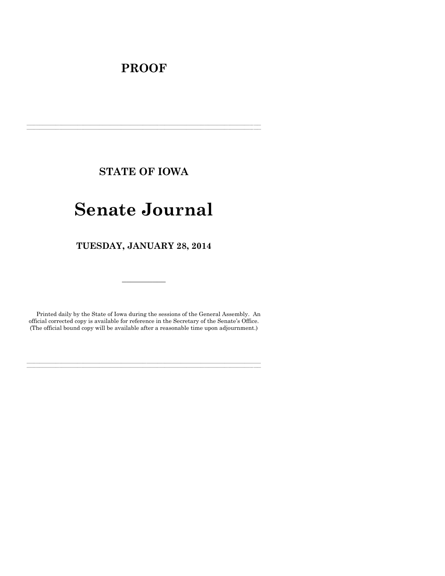# **PROOF**

**STATE OF IOWA**

**\_\_\_\_\_\_\_\_\_\_\_\_\_\_\_\_\_\_\_\_\_\_\_\_\_\_\_\_\_\_\_\_\_\_\_\_\_\_\_\_\_\_\_\_\_\_\_\_\_\_\_\_\_\_\_\_\_\_\_\_\_\_\_\_\_\_\_\_\_\_\_\_\_\_\_\_\_\_\_\_\_\_\_\_\_\_\_\_\_\_\_\_\_\_\_\_\_\_\_\_\_\_\_\_\_\_\_\_\_\_\_\_\_\_\_\_\_\_\_\_\_\_\_\_\_\_\_\_\_ \_\_\_\_\_\_\_\_\_\_\_\_\_\_\_\_\_\_\_\_\_\_\_\_\_\_\_\_\_\_\_\_\_\_\_\_\_\_\_\_\_\_\_\_\_\_\_\_\_\_\_\_\_\_\_\_\_\_\_\_\_\_\_\_\_\_\_\_\_\_\_\_\_\_\_\_\_\_\_\_\_\_\_\_\_\_\_\_\_\_\_\_\_\_\_\_\_\_\_\_\_\_\_\_\_\_\_\_\_\_\_\_\_\_\_\_\_\_\_\_\_\_\_\_\_\_\_\_\_**

# **Senate Journal**

**TUESDAY, JANUARY 28, 2014**

Printed daily by the State of Iowa during the sessions of the General Assembly. An official corrected copy is available for reference in the Secretary of the Senate's Office. (The official bound copy will be available after a reasonable time upon adjournment.)

**\_\_\_\_\_\_\_\_\_\_\_\_\_\_\_\_\_\_\_\_\_\_\_\_\_\_\_\_\_\_\_\_\_\_\_\_\_\_\_\_\_\_\_\_\_\_\_\_\_\_\_\_\_\_\_\_\_\_\_\_\_\_\_\_\_\_\_\_\_\_\_\_\_\_\_\_\_\_\_\_\_\_\_\_\_\_\_\_\_\_\_\_\_\_\_\_\_\_\_\_\_\_\_\_\_\_\_\_\_\_\_\_\_\_\_\_\_\_\_\_\_\_\_\_\_\_\_\_\_ \_\_\_\_\_\_\_\_\_\_\_\_\_\_\_\_\_\_\_\_\_\_\_\_\_\_\_\_\_\_\_\_\_\_\_\_\_\_\_\_\_\_\_\_\_\_\_\_\_\_\_\_\_\_\_\_\_\_\_\_\_\_\_\_\_\_\_\_\_\_\_\_\_\_\_\_\_\_\_\_\_\_\_\_\_\_\_\_\_\_\_\_\_\_\_\_\_\_\_\_\_\_\_\_\_\_\_\_\_\_\_\_\_\_\_\_\_\_\_\_\_\_\_\_\_\_\_\_\_**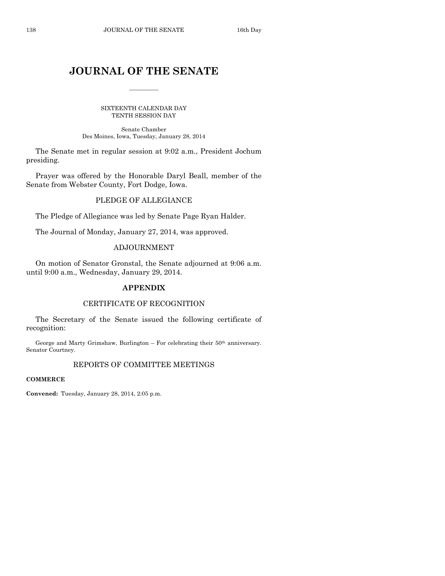## **JOURNAL OF THE SENATE**

 $\frac{1}{2}$ 

SIXTEENTH CALENDAR DAY TENTH SESSION DAY

Senate Chamber Des Moines, Iowa, Tuesday, January 28, 2014

The Senate met in regular session at 9:02 a.m., President Jochum presiding.

Prayer was offered by the Honorable Daryl Beall, member of the Senate from Webster County, Fort Dodge, Iowa.

## PLEDGE OF ALLEGIANCE

The Pledge of Allegiance was led by Senate Page Ryan Halder.

The Journal of Monday, January 27, 2014, was approved.

## ADJOURNMENT

On motion of Senator Gronstal, the Senate adjourned at 9:06 a.m. until 9:00 a.m., Wednesday, January 29, 2014.

## **APPENDIX**

#### CERTIFICATE OF RECOGNITION

The Secretary of the Senate issued the following certificate of recognition:

George and Marty Grimshaw, Burlington – For celebrating their 50th anniversary. Senator Courtney.

#### REPORTS OF COMMITTEE MEETINGS

**COMMERCE**

**Convened:** Tuesday, January 28, 2014, 2:05 p.m.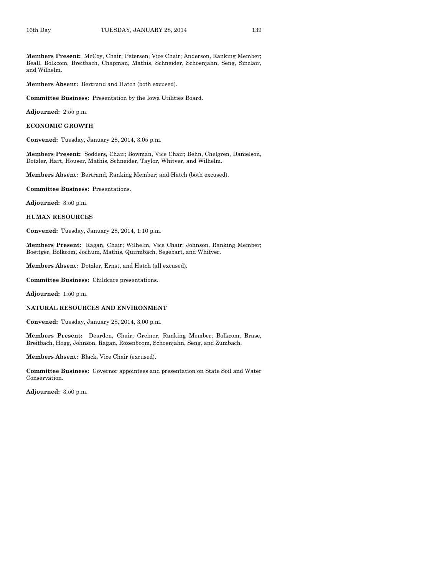**Members Present:** McCoy, Chair; Petersen, Vice Chair; Anderson, Ranking Member; Beall, Bolkcom, Breitbach, Chapman, Mathis, Schneider, Schoenjahn, Seng, Sinclair, and Wilhelm.

**Members Absent:** Bertrand and Hatch (both excused).

**Committee Business:** Presentation by the Iowa Utilities Board.

**Adjourned:** 2:55 p.m.

**ECONOMIC GROWTH**

**Convened:** Tuesday, January 28, 2014, 3:05 p.m.

**Members Present:** Sodders, Chair; Bowman, Vice Chair; Behn, Chelgren, Danielson, Dotzler, Hart, Houser, Mathis, Schneider, Taylor, Whitver, and Wilhelm.

**Members Absent:** Bertrand, Ranking Member; and Hatch (both excused).

**Committee Business:** Presentations.

**Adjourned:** 3:50 p.m.

#### **HUMAN RESOURCES**

**Convened:** Tuesday, January 28, 2014, 1:10 p.m.

**Members Present:** Ragan, Chair; Wilhelm, Vice Chair; Johnson, Ranking Member; Boettger, Bolkcom, Jochum, Mathis, Quirmbach, Segebart, and Whitver.

**Members Absent:** Dotzler, Ernst, and Hatch (all excused).

**Committee Business:** Childcare presentations.

**Adjourned:** 1:50 p.m.

#### **NATURAL RESOURCES AND ENVIRONMENT**

**Convened:** Tuesday, January 28, 2014, 3:00 p.m.

**Members Present:** Dearden, Chair; Greiner, Ranking Member; Bolkcom, Brase, Breitbach, Hogg, Johnson, Ragan, Rozenboom, Schoenjahn, Seng, and Zumbach.

**Members Absent:** Black, Vice Chair (excused).

**Committee Business:** Governor appointees and presentation on State Soil and Water Conservation.

**Adjourned:** 3:50 p.m.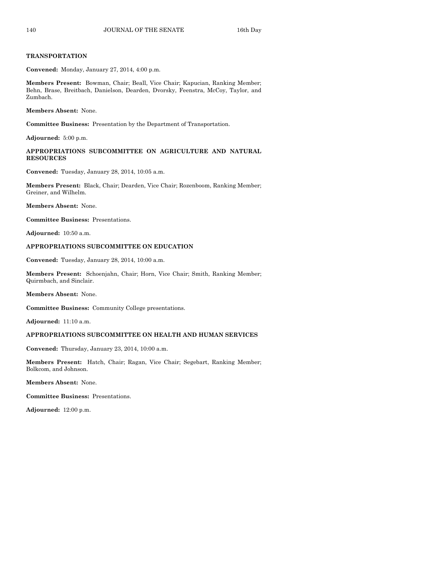#### **TRANSPORTATION**

**Convened:** Monday, January 27, 2014, 4:00 p.m.

**Members Present:** Bowman, Chair; Beall, Vice Chair; Kapucian, Ranking Member; Behn, Brase, Breitbach, Danielson, Dearden, Dvorsky, Feenstra, McCoy, Taylor, and Zumbach.

**Members Absent:** None.

**Committee Business:** Presentation by the Department of Transportation.

**Adjourned:** 5:00 p.m.

#### **APPROPRIATIONS SUBCOMMITTEE ON AGRICULTURE AND NATURAL RESOURCES**

**Convened:** Tuesday, January 28, 2014, 10:05 a.m.

**Members Present:** Black, Chair; Dearden, Vice Chair; Rozenboom, Ranking Member; Greiner, and Wilhelm.

**Members Absent:** None.

**Committee Business:** Presentations.

**Adjourned:** 10:50 a.m.

#### **APPROPRIATIONS SUBCOMMITTEE ON EDUCATION**

**Convened:** Tuesday, January 28, 2014, 10:00 a.m.

**Members Present:** Schoenjahn, Chair; Horn, Vice Chair; Smith, Ranking Member; Quirmbach, and Sinclair.

**Members Absent:** None.

**Committee Business:** Community College presentations.

**Adjourned:** 11:10 a.m.

#### **APPROPRIATIONS SUBCOMMITTEE ON HEALTH AND HUMAN SERVICES**

**Convened:** Thursday, January 23, 2014, 10:00 a.m.

**Members Present:** Hatch, Chair; Ragan, Vice Chair; Segebart, Ranking Member; Bolkcom, and Johnson.

**Members Absent:** None.

**Committee Business:** Presentations.

**Adjourned:** 12:00 p.m.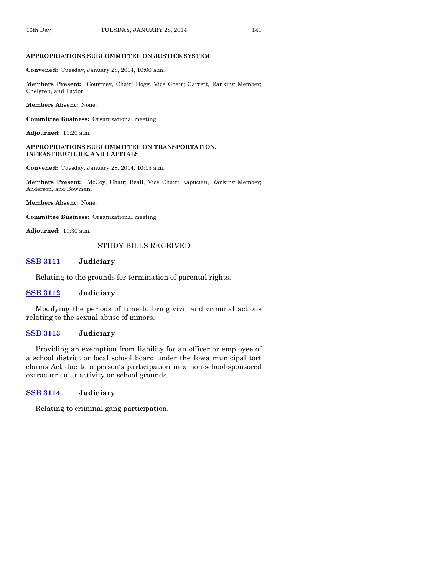#### **APPROPRIATIONS SUBCOMMITTEE ON JUSTICE SYSTEM**

**Convened:** Tuesday, January 28, 2014, 10:00 a.m.

**Members Present:** Courtney, Chair; Hogg, Vice Chair; Garrett, Ranking Member; Chelgren, and Taylor.

**Members Absent:** None.

**Committee Business:** Organizational meeting.

**Adjourned:** 11:20 a.m.

#### **APPROPRIATIONS SUBCOMMITTEE ON TRANSPORTATION, INFRASTRUCTURE, AND CAPITALS**

**Convened:** Tuesday, January 28, 2014, 10:15 a.m.

**Members Present:** McCoy, Chair; Beall, Vice Chair; Kapucian, Ranking Member; Anderson, and Bowman.

**Members Absent:** None.

**Committee Business:** Organizational meeting.

**Adjourned:** 11:30 a.m.

#### STUDY BILLS RECEIVED

### **[SSB 3111](http://coolice.legis.iowa.gov/Cool-ICE/default.asp?Category=billinfo&Service=Billbook&frame=1&GA=85&hbill=SSB3111) Judiciary**

Relating to the grounds for termination of parental rights.

#### **[SSB 3112](http://coolice.legis.iowa.gov/Cool-ICE/default.asp?Category=billinfo&Service=Billbook&frame=1&GA=85&hbill=SSB3112) Judiciary**

Modifying the periods of time to bring civil and criminal actions relating to the sexual abuse of minors.

#### **[SSB 3113](http://coolice.legis.iowa.gov/Cool-ICE/default.asp?Category=billinfo&Service=Billbook&frame=1&GA=85&hbill=SSB3113) Judiciary**

Providing an exemption from liability for an officer or employee of a school district or local school board under the Iowa municipal tort claims Act due to a person's participation in a non-school-sponsored extracurricular activity on school grounds.

**[SSB 3114](http://coolice.legis.iowa.gov/Cool-ICE/default.asp?Category=billinfo&Service=Billbook&frame=1&GA=85&hbill=SSB3114) Judiciary**

Relating to criminal gang participation.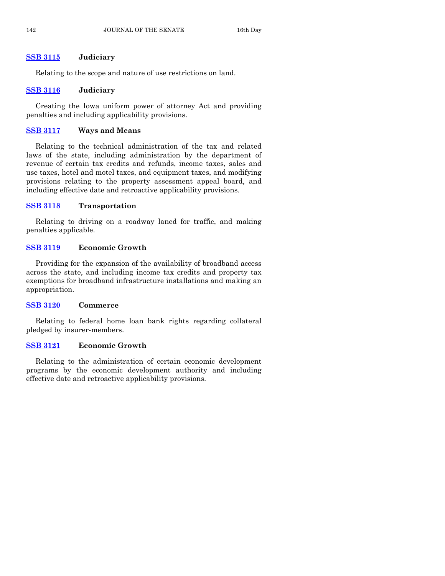#### **[SSB 3115](http://coolice.legis.iowa.gov/Cool-ICE/default.asp?Category=billinfo&Service=Billbook&frame=1&GA=85&hbill=SSB3115) Judiciary**

Relating to the scope and nature of use restrictions on land.

#### **[SSB 3116](http://coolice.legis.iowa.gov/Cool-ICE/default.asp?Category=billinfo&Service=Billbook&frame=1&GA=85&hbill=SSB3116) Judiciary**

Creating the Iowa uniform power of attorney Act and providing penalties and including applicability provisions.

#### **[SSB 3117](http://coolice.legis.iowa.gov/Cool-ICE/default.asp?Category=billinfo&Service=Billbook&frame=1&GA=85&hbill=SSB3117) Ways and Means**

Relating to the technical administration of the tax and related laws of the state, including administration by the department of revenue of certain tax credits and refunds, income taxes, sales and use taxes, hotel and motel taxes, and equipment taxes, and modifying provisions relating to the property assessment appeal board, and including effective date and retroactive applicability provisions.

## **[SSB 3118](http://coolice.legis.iowa.gov/Cool-ICE/default.asp?Category=billinfo&Service=Billbook&frame=1&GA=85&hbill=SSB3118) Transportation**

Relating to driving on a roadway laned for traffic, and making penalties applicable.

## **[SSB 3119](http://coolice.legis.iowa.gov/Cool-ICE/default.asp?Category=billinfo&Service=Billbook&frame=1&GA=85&hbill=SSB3119) Economic Growth**

Providing for the expansion of the availability of broadband access across the state, and including income tax credits and property tax exemptions for broadband infrastructure installations and making an appropriation.

#### **[SSB 3120](http://coolice.legis.iowa.gov/Cool-ICE/default.asp?Category=billinfo&Service=Billbook&frame=1&GA=85&hbill=SSB3120) Commerce**

Relating to federal home loan bank rights regarding collateral pledged by insurer-members.

#### **[SSB 3121](http://coolice.legis.iowa.gov/Cool-ICE/default.asp?Category=billinfo&Service=Billbook&frame=1&GA=85&hbill=SSB3121) Economic Growth**

Relating to the administration of certain economic development programs by the economic development authority and including effective date and retroactive applicability provisions.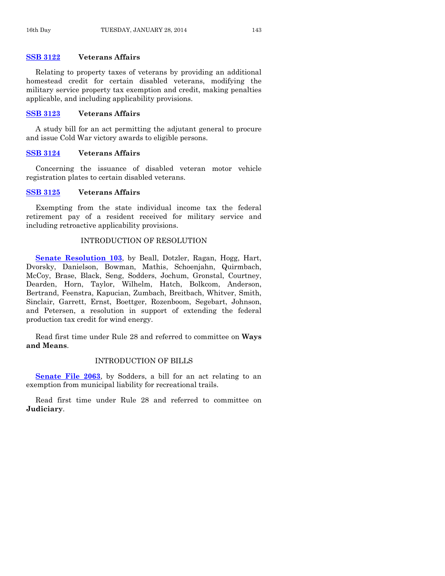## **[SSB 3122](http://coolice.legis.iowa.gov/Cool-ICE/default.asp?Category=billinfo&Service=Billbook&frame=1&GA=85&hbill=SSB3122) Veterans Affairs**

Relating to property taxes of veterans by providing an additional homestead credit for certain disabled veterans, modifying the military service property tax exemption and credit, making penalties applicable, and including applicability provisions.

### **[SSB 3123](http://coolice.legis.iowa.gov/Cool-ICE/default.asp?Category=billinfo&Service=Billbook&frame=1&GA=85&hbill=SSB3123) Veterans Affairs**

A study bill for an act permitting the adjutant general to procure and issue Cold War victory awards to eligible persons.

#### **[SSB 3124](http://coolice.legis.iowa.gov/Cool-ICE/default.asp?Category=billinfo&Service=Billbook&frame=1&GA=85&hbill=SSB3124) Veterans Affairs**

Concerning the issuance of disabled veteran motor vehicle registration plates to certain disabled veterans.

#### **[SSB 3125](http://coolice.legis.iowa.gov/Cool-ICE/default.asp?Category=billinfo&Service=Billbook&frame=1&GA=85&hbill=SSB3125) Veterans Affairs**

Exempting from the state individual income tax the federal retirement pay of a resident received for military service and including retroactive applicability provisions.

## INTRODUCTION OF RESOLUTION

**[Senate Resolution 103](http://coolice.legis.iowa.gov/Cool-ICE/default.asp?Category=billinfo&Service=Billbook&frame=1&GA=85&hbill=SR103)**, by Beall, Dotzler, Ragan, Hogg, Hart, Dvorsky, Danielson, Bowman, Mathis, Schoenjahn, Quirmbach, McCoy, Brase, Black, Seng, Sodders, Jochum, Gronstal, Courtney, Dearden, Horn, Taylor, Wilhelm, Hatch, Bolkcom, Anderson, Bertrand, Feenstra, Kapucian, Zumbach, Breitbach, Whitver, Smith, Sinclair, Garrett, Ernst, Boettger, Rozenboom, Segebart, Johnson, and Petersen, a resolution in support of extending the federal production tax credit for wind energy.

Read first time under Rule 28 and referred to committee on **Ways and Means**.

## INTRODUCTION OF BILLS

**[Senate File 2063](http://coolice.legis.iowa.gov/Cool-ICE/default.asp?Category=billinfo&Service=Billbook&frame=1&GA=85&hbill=SF2063)**, by Sodders, a bill for an act relating to an exemption from municipal liability for recreational trails.

Read first time under Rule 28 and referred to committee on **Judiciary**.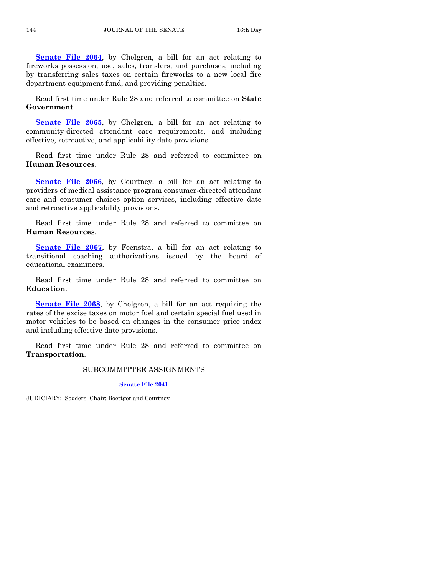**[Senate File 2064](http://coolice.legis.iowa.gov/Cool-ICE/default.asp?Category=billinfo&Service=Billbook&frame=1&GA=85&hbill=SF2064)**, by Chelgren, a bill for an act relating to fireworks possession, use, sales, transfers, and purchases, including by transferring sales taxes on certain fireworks to a new local fire department equipment fund, and providing penalties.

Read first time under Rule 28 and referred to committee on **State Government**.

**[Senate File 2065](http://coolice.legis.iowa.gov/Cool-ICE/default.asp?Category=billinfo&Service=Billbook&frame=1&GA=85&hbill=SF2065)**, by Chelgren, a bill for an act relating to community-directed attendant care requirements, and including effective, retroactive, and applicability date provisions.

Read first time under Rule 28 and referred to committee on **Human Resources**.

**[Senate File 2066](http://coolice.legis.iowa.gov/Cool-ICE/default.asp?Category=billinfo&Service=Billbook&frame=1&GA=85&hbill=SF2066)**, by Courtney, a bill for an act relating to providers of medical assistance program consumer-directed attendant care and consumer choices option services, including effective date and retroactive applicability provisions.

Read first time under Rule 28 and referred to committee on **Human Resources**.

**[Senate File 2067](http://coolice.legis.iowa.gov/Cool-ICE/default.asp?Category=billinfo&Service=Billbook&frame=1&GA=85&hbill=SF2067)**, by Feenstra, a bill for an act relating to transitional coaching authorizations issued by the board of educational examiners.

Read first time under Rule 28 and referred to committee on **Education**.

**[Senate File 2068](http://coolice.legis.iowa.gov/Cool-ICE/default.asp?Category=billinfo&Service=Billbook&frame=1&GA=85&hbill=SF2068)**, by Chelgren, a bill for an act requiring the rates of the excise taxes on motor fuel and certain special fuel used in motor vehicles to be based on changes in the consumer price index and including effective date provisions.

Read first time under Rule 28 and referred to committee on **Transportation**.

#### SUBCOMMITTEE ASSIGNMENTS

#### **[Senate File 2041](http://coolice.legis.iowa.gov/Cool-ICE/default.asp?Category=billinfo&Service=Billbook&frame=1&GA=85&hbill=SF2041)**

JUDICIARY: Sodders, Chair; Boettger and Courtney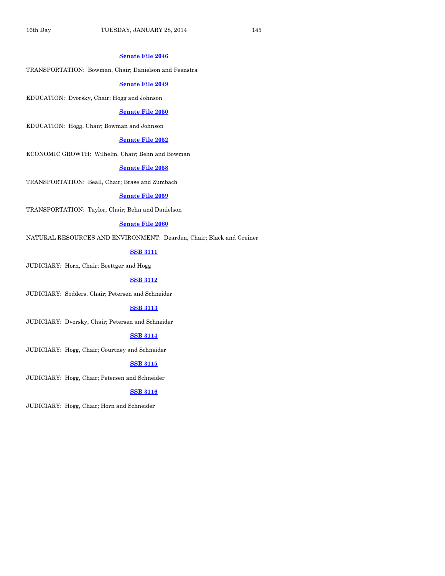#### **[Senate File 2046](http://coolice.legis.iowa.gov/Cool-ICE/default.asp?Category=billinfo&Service=Billbook&frame=1&GA=85&hbill=SF2046)**

TRANSPORTATION: Bowman, Chair; Danielson and Feenstra

#### **[Senate File 2049](http://coolice.legis.iowa.gov/Cool-ICE/default.asp?Category=billinfo&Service=Billbook&frame=1&GA=85&hbill=SF2049)**

EDUCATION: Dvorsky, Chair; Hogg and Johnson

#### **[Senate File 2050](http://coolice.legis.iowa.gov/Cool-ICE/default.asp?Category=billinfo&Service=Billbook&frame=1&GA=85&hbill=SF2050)**

EDUCATION: Hogg, Chair; Bowman and Johnson

#### **[Senate File 2052](http://coolice.legis.iowa.gov/Cool-ICE/default.asp?Category=billinfo&Service=Billbook&frame=1&GA=85&hbill=SF2052)**

ECONOMIC GROWTH: Wilhelm, Chair; Behn and Bowman

#### **[Senate File 2058](http://coolice.legis.iowa.gov/Cool-ICE/default.asp?Category=billinfo&Service=Billbook&frame=1&GA=85&hbill=SF2058)**

TRANSPORTATION: Beall, Chair; Brase and Zumbach

## **[Senate File 2059](http://coolice.legis.iowa.gov/Cool-ICE/default.asp?Category=billinfo&Service=Billbook&frame=1&GA=85&hbill=SF2059)**

TRANSPORTATION: Taylor, Chair; Behn and Danielson

#### **[Senate File 2060](http://coolice.legis.iowa.gov/Cool-ICE/default.asp?Category=billinfo&Service=Billbook&frame=1&GA=85&hbill=SF2060)**

NATURAL RESOURCES AND ENVIRONMENT: Dearden, Chair; Black and Greiner

## **[SSB 3111](http://coolice.legis.iowa.gov/Cool-ICE/default.asp?Category=billinfo&Service=Billbook&frame=1&GA=85&hbill=SSB3111)**

JUDICIARY: Horn, Chair; Boettger and Hogg

## **[SSB 3112](http://coolice.legis.iowa.gov/Cool-ICE/default.asp?Category=billinfo&Service=Billbook&frame=1&GA=85&hbill=SSB3112)**

JUDICIARY: Sodders, Chair; Petersen and Schneider

### **[SSB 3113](http://coolice.legis.iowa.gov/Cool-ICE/default.asp?Category=billinfo&Service=Billbook&frame=1&GA=85&hbill=SSB3113)**

JUDICIARY: Dvorsky, Chair; Petersen and Schneider

## **[SSB 3114](http://coolice.legis.iowa.gov/Cool-ICE/default.asp?Category=billinfo&Service=Billbook&frame=1&GA=85&hbill=SSB3114)**

JUDICIARY: Hogg, Chair; Courtney and Schneider

## **[SSB 3115](http://coolice.legis.iowa.gov/Cool-ICE/default.asp?Category=billinfo&Service=Billbook&frame=1&GA=85&hbill=SSB3115)**

JUDICIARY: Hogg, Chair; Petersen and Schneider

## **[SSB 3116](http://coolice.legis.iowa.gov/Cool-ICE/default.asp?Category=billinfo&Service=Billbook&frame=1&GA=85&hbill=SSB3116)**

JUDICIARY: Hogg, Chair; Horn and Schneider